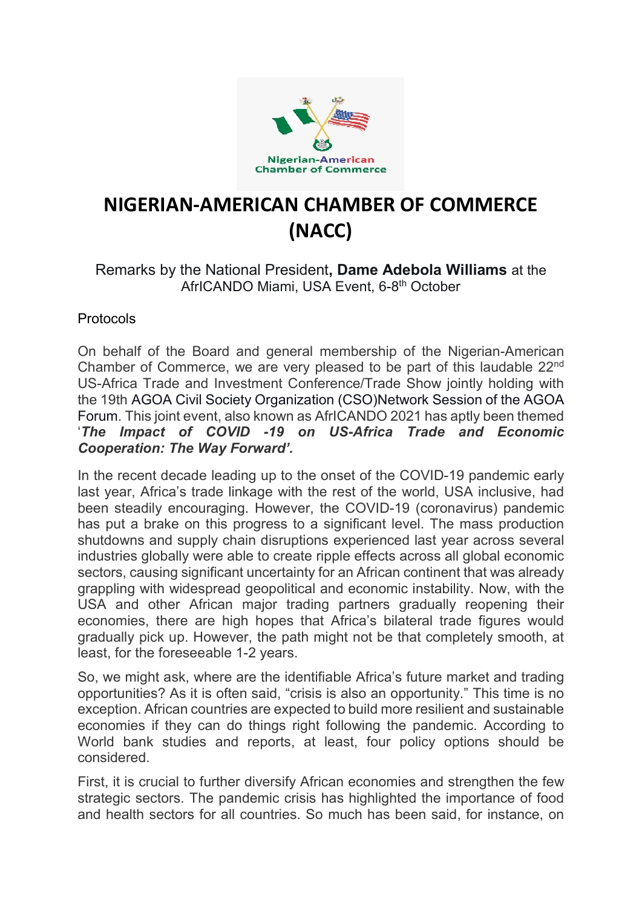

## **NIGERIAN-AMERICAN CHAMBER OF COMMERCE (NACC)**

## Remarks by the National President**, Dame Adebola Williams** at the AfrICANDO Miami, USA Event, 6-8<sup>th</sup> October

## Protocols

On behalf of the Board and general membership of the Nigerian-American Chamber of Commerce, we are very pleased to be part of this laudable 22nd US-Africa Trade and Investment Conference/Trade Show jointly holding with the 19th AGOA Civil Society Organization (CSO)Network Session of the AGOA Forum. This joint event, also known as AfrICANDO 2021 has aptly been themed '*The Impact of COVID -19 on US-Africa Trade and Economic Cooperation: The Way Forward'.*

In the recent decade leading up to the onset of the COVID-19 pandemic early last year, Africa's trade linkage with the rest of the world, USA inclusive, had been steadily encouraging. However, the COVID-19 (coronavirus) pandemic has put a brake on this progress to a significant level. The mass production shutdowns and supply chain disruptions experienced last year across several industries globally were able to create ripple effects across all global economic sectors, causing significant uncertainty for an African continent that was already grappling with widespread geopolitical and economic instability. Now, with the USA and other African major trading partners gradually reopening their economies, there are high hopes that Africa's bilateral trade figures would gradually pick up. However, the path might not be that completely smooth, at least, for the foreseeable 1-2 years.

So, we might ask, where are the identifiable Africa's future market and trading opportunities? As it is often said, "crisis is also an opportunity." This time is no exception. African countries are expected to build more resilient and sustainable economies if they can do things right following the pandemic. According to World bank studies and reports, at least, four policy options should be considered.

First, it is crucial to further diversify African economies and strengthen the few strategic sectors. The pandemic crisis has highlighted the importance of food and health sectors for all countries. So much has been said, for instance, on